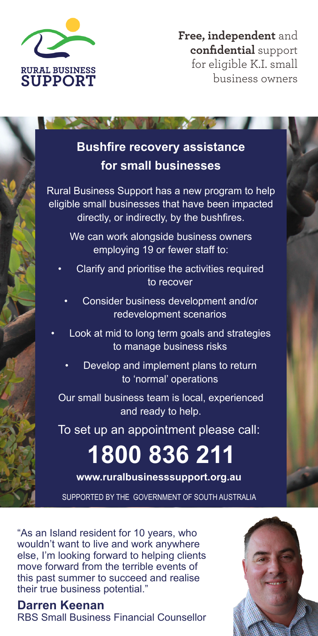

**Free, independent** and **confidential** support for eligible K.I. small business owners

## **Bushfire recovery assistance for small businesses**

Rural Business Support has a new program to help eligible small businesses that have been impacted directly, or indirectly, by the bushfires.

We can work alongside business owners employing 19 or fewer staff to:

- Clarify and prioritise the activities required to recover
	- Consider business development and/or redevelopment scenarios
- Look at mid to long term goals and strategies to manage business risks
	- Develop and implement plans to return to 'normal' operations

Our small business team is local, experienced and ready to help.

To set up an appointment please call:

# **1800 836 211**

**www.ruralbusinesssupport.org.au**

SUPPORTED BY THE GOVERNMENT OF SOUTH AUSTRALIA

"As an Island resident for 10 years, who wouldn't want to live and work anywhere else, I'm looking forward to helping clients move forward from the terrible events of this past summer to succeed and realise their true business potential."

#### **Darren Keenan**

RBS Small Business Financial Counsellor